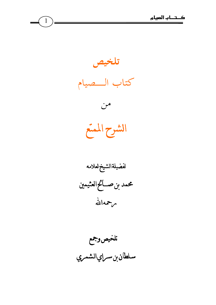

 $\left(1\right)$ 

تلخيصوجمع سلطان بن ســراي الشمـري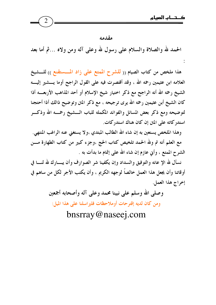مقدمه

الحمد لله والصلاة والسلام على رسول لله وعلى آله ومن ولاه …ثم أما بعد

هذا ملخص من كتاب الصيام (( للشرح الممتع على زاد المستقنع )) للمشيخ العلامه ابن عثيمين رحمه الله ، وقد أقتصرت فيه على القول الراجح أوما يــــشير إليــــه الشيخ رحمه الله أنه الراجح مع ذكر اختيار شيخ الإسلام أو أحد المذاهب الأربعـــه أذا كان الشيخ أبن عثيمين رحمه الله يرى ترجيحه ، مع ذكر المتن وتوضيح ذالك أذا أحتجنا لتوضيحه ومع ذكر بعض المسائل والفوائد المكمله للباب الـــشيخ رحمـــه الله وذكـــر استدركاته على المتن إن كان هناك استدركات.

وهذا الملخص يستعين به إن شاء الله الطالب المبتدي ،ولا يستغني عنه الراغب المنتهي. مع العلم أنه تم ولله الحمد تلخيص كتاب الحج ،وجزء كبير من كتاب الطهارة مـــن الشرح الممتع ، وأنى عازم إن شاء الله على إتمام ما بدأت به .

نسأل لله الإ عانه والتوفيق والسداد وإن يكفينا شر الصوارف وأن يبسارك لله لنسا في أوقاتنا وأن يجعل هذا العمل خالصاً لوجهه الكريم ، وأن يكتب الأجر لكل من ساهم في إخراج هذا العمل.

> وصلى الله وسلم على نبينا محمد وعلى آله وأصحابه أجمعين ومن كان لديه إقترحات أوملاحظات فليراسلنا على هذا الميل:

> > bnsrray@naseej.com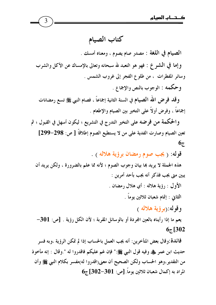كتاب الصيام

الصيام في اللغة : مصدر صام يصوم ، ومعناه أمسك .

وإما في الشرع : فهو هو التعبد لله سبحانه وتعالى بالإمساك عن الأكل والشرب وسائر المُطرات ، من طلوع الفجر إلى غروب الشمس .

و حكمه : الوجوب بالنص والإجماع .

و قلد فر ض الله الصيام في السنة الثانية إجماعاً ، فصام النبي ﷺ تسع رمضانات إجماعاً ، وفرض أولاً على التخير بين الصيام والإطعام .

والحكمة من فرضه على التخير التدرج في التشريع ؛ ليكون أسهل في القبول ؛ ثم تعين الصيام وصارت الفدية على من لا يستطيع الصوم إطلاقاً [ ص: 298–299]  $6\overline{c}$ 

قوله: ( يجب صوم رمضان برؤية هلاله ) .

هذه الجملة لا يريد ها بيان وجوب الصوم ؛ لأنه مما علم بالضرورة ، ولكن يريد أن يبين متى يجب فذكر أنه يجب بأحد أمرين : الأول : رؤية هلاله : أي هلال رمضان .

الثانى : إتمام شعبان ثلاثين يوماً .

وقوله: (برؤية هلاله )

يعم ما إذا رأيناه بالعين المجردة أو بالوسائل المقربة ؛ لأن الكل رؤية . [ص: 301–  $67[302]$ 

فائدة:وقال بعض المتأخرين: أنه يجب العمل بالحساب إذا لم تمكن الرؤية ،وبه فسر حديث ابن عمر ﷺ وفيه قول النبي ﷺ:" فإن غم عليكم فاقدروا له ".وقال : إنه مأخوذ من التقدير،وهو الحساب ولكن الصحيح أن معنى(اقدروا له)مفسر بكلام النبي ﷺ وأن  $6_{\vec{c}}$  المراد به إكمال شعبان ثلاثين يوماً.[ص: 301–302] ج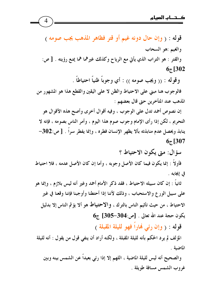قوله : ( وإن حال دونه غيم أو قتر فظاهر المذهب يجب صومه ) والغيم :هو السحاب والقتر : هو التراب الذي يأتي مع الرياح وكذلك غيرهما هما يمنع رؤيته . [ ص:  $67[302]$ 

وقوله : (( ويجب صومه )) : أي وجوباً ظنياً احتياطاً .

فالوجوب هنا مبنى على الاحتياط والظن لا على اليقين والقطع هذا هو المشهور من المذهب عند المتأخرين حتى قال بعضهم :

إن نصوص أحمد تدل على الوجوب ، وفيه أقوال أخرى وأصح هذه الأقوال هو التحريم ، لكن إذا رأى الإمام وجوب صوم هذا اليوم ، وأمر الناس بصومه ، فإنه لا ينابذ ويحصل عدم منابذته بألا يظهر الإنسان فطره ، وإنما يفطر سراً . [ ص:302—  $67$ [307

سؤال: متى يكون الاحتياط ؟

فأولاً : إنما يكون فيما كان الأصل وجوبه ، وأما إن كان الأصل عدمه ، فلا احتياط في إيجابه .

ثانياً : إن كان سبيله الاحتياط ، فقد ذكر الأمام أحمد وغير أنه ليس بلازم ، وإنما هو على سبيل الورع والاستحباب ، وذلك لأننا إذا أحتطنا وأوجبنا فإننا وقعنا في غير الاحتياط ، من حيث تأثيم الناس بالترك ، والاحتياط هو ألا يؤثم الناس إلا بدليل  $6$ يكون حجة عند الله تعالى . [ص:304–305] ج

قوله : ( وإن رئي هَاراً فهو لليلة المقبلة )

المؤلف لم يرد الحكم بأنه لليلة المقبلة ، ولكنه أراد أن ينفي قول من يقول : أنه لليلة الماضية .

والصحيح أنه ليس لليلة الماضية ، اللهم إلا إذا رئي بعيداً عن الشمس بينه وبين غروب الشمس مسافة طويلة .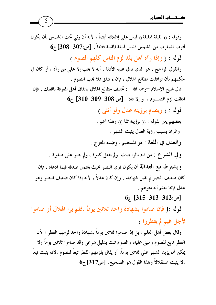وقوله : (( لليلة المقبلة)) ليس على إطلاقه أيضاً ؛ لأنه أن رئي تحت الشمس بأن يكون أقرب للمغرب من الشمس فليس لليلة المقبلة قطعاً . [ص:307-308] ج6 قوله : ( وإذا رآه أهل بلد لزم الناس كلهم الصوم ) والقول الراجح ، هو الذي تدل عليه الأدلة ، أنه لا يجب إلا على من رآه ، أو كان في حكمهم بأن توافقت مطالع الهلال ، فإن لم تتفق فلا يجب الصوم . قال شيخ الإسلام —رحمه الله– : تختلف مطالع الهلال باتفاق أهل المعرفة بالفلك ، فإن  $6$ اتفقت لزم الصوم ، و إلا فلا . [ص:308-309-310 ج قوله : ( ويصام برؤيته عدل ولو أنثى ) بعضهم يعبر بقوله : (( برؤيته ثقة )) وهذا أعم . والمراد بسبب رؤية العدل يثبت الشهر . والعدل في اللغة : هو المستقيم ، وضده المعوج . وفي الشرع : من قام بالواجبات ولم يفعل كبيرة ، ولم يصر على صغيرة . ويشتر ط مع العدالة أن يكون قوي البصر بحيث يحتمل صدقه فيما ادعاه ، فإن كان ضعيف البصر لم تقبل شهادته ، وإن كان عدلاً ؛ لأنه إذا كان ضعيف البصر وهو عدل فإننا نعلم أنه متوهم .  $67 [315 - 313 - 312:$ [ص:312-313]

قوله :( فإن صاموا بشهادة واحد ثلاثين يومأ ،فلم يرا الهلال أو صاموا لأجل غيم لم يفطروا )

وقال بعض أهل العلم : بل إذا صاموا ثلاثين يوماً بشهادة واحد لزمهم الفطر ؛ لأن الفطر تابع للصوم ومبنى عليه، والصوم ثبت بدليل شرعي وقد صاموا ثلاثين يوماً ولا يمكن أن يزيد الشهر على ثلاثين يوماً، أو يقال يلزمهم الفطر تبعاً للصوم ،لأنه يثبت تبعاً ،لا يثبت استقلالاً وهذا القول هو الصحيح. [ص317] ج6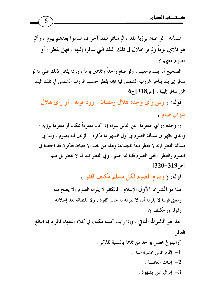مسألة : لو صام برؤية بلد ، ثم سافر لبلد آخر قد صاموا بعدهم بيوم ، وأتم هو ثلاثين يوماً ولم ير الهلال في تلك البلد التي سافرا إليها ، فهل يفطر ، أو يصوم معهم ؟

الصحيح أنه يصوم معهم ، ولو صام واحداً وثلاثين يوماً ، وربما يقاس ذلك على ما لو سافر إلى بلد يتأخر غروب الشمس فيه فإنه يفطر حسب غروب الشمس في تلك البلد  $6_{\tilde{c}}$  التي سافر إليها . [ص318]

قوله: ( ومن رأى وحده هلال رمضان ، ورد قوله ، أو رأى هلال شوال صام)

(( وحده )) أي :منفر داً عن الناس سواء إذا كان منفر داً بمكان أو منفر داً برؤية ؛ والذي يظهر في مسألة الصوم في أول الشهر ما ذكره . المؤلف أنه يصوم ، وأما في مسألة الفطر فإنه لا يفطر تبعاً للجماعة وهذا من باب الاحتياط فنكون قد احتطنا في الصوم والفطر ، ففي الصوم قلنا له: صم ، وفي الفطر قلنا له:لا تفطر بل صم .  $[320 - 319]$ 

قوله: ( ويلزم الصوم لكل مسلم مكلف قادر )

هذا هو الشرط الأول الإسلام ، فالكافر لا يلزمه الصوم ولا يصح منه . ومعنى قولنا لا يلزمه أننا لا نلزمه به حال كفره ، ولا بقضائه بعد إسلامه وقوله:(( مكلف ))

هذا هو الشَّعرِ ط الثَّاني ، وإذا رأيت كلَّمة مكلَّف في كلام الفقهاء فالمراد بما البالغ العاقل .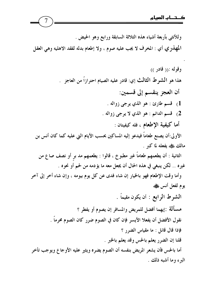وللأنثى بأربعة أشياء هذه الثلاثة السابقة ورابع وهو الحيض . المهذري أي : المخرف لا يجب عليه صوم ، ولا إطعام بدله لفقد الاهليه وهي العقل وقوله :(( قادر )) هذا هو الشَّوط الثالث إي: قادر عليه الصيام احترازاً من العاجز . أن العجز ينقسم إلى قسمين: 1) قسم طارئ : هو الذي يرجى زواله . 2) قسم الدائم : هو الذي لا يرجى زواله . أما كيفية الإطعام ، فله كيفيتان : الأولى:أن يصنع طعاماً فيدعو إليه المساكين بحسب الأيام التي عليه كما كان أنس بن مالك ﷺ يفعله لما كبر . الثانية : أن يطعمهم طعاماً غير مطبوخ ، قالوا : يطعمهم مد بر أو نصف صاع من غيره .. لكن ينبغي في هذه الحال أن يجعل معه ما يؤدمه من لحم أو نحوه .

وأما وقت الإطعام فهو بالخيار إن شاء فدى عن كل يوم بيومه ، وإن شاء أخر إلى آخر يوم لفعل أنس ﷺ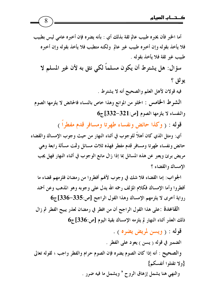أما الخبر فأن يخبره طبيب عالم ثقة بذلك أي : بأنه يضره فإن أخبره عامى ليس بطبيب فلا يأخذ بقوله وإن أخبره طبيب غير عالم ولكنه متطبب فلا يأخذ بقوله وإن أخبره طبيب غير ثقة فلا يأخذ بقوله .

سؤال: هل يشترط أن يكون مسلماً لكي نثق به لأن غير المسلم لا يو ثق ؟

فيه قولان لأهل العلم والصحيح أنه لا يشترط .

الشرط الخامس : الخلو من الموانع وهذا خاص بالنساء فالحائض لا يلزمها الصوم  $6_{\overline{6}}$ والنفساء لا يلزمها الصوم [ص:331-332]

قوله : ( وكذا حائض ونفساء طهرتا ومسافر قدم مفطراً )

أي: ومثل الذي كان أهلاً للوجوب في أثناء النهار من حيث وجوب الإمساك والقضاء حائض ونفساء طهرتا ومسافر قدم مفطر فهذه ثلاث مسائل وثمت مسألة رابعة وهي مريض برئ ويعبر عن هذه المسائل بما إذا زال مانع الوجوب في أثناء النهار فهل يجب الامساك والقضاء ؟

الجواب: إما القضاء فلا شك في وجوب لأفمم أفطروا من رمضان فلزمهم قضاء ما أفطروا وأما الإمساك فكلام المؤلف رحمه الله يدل على وجوبه وهو المذهب وعن أحمد رواية أخرى لا يلزمهم الإمساك وهذا القول الراجح [ص:335-336] ج6

القاعدة :على هذا القول الراجح أن من افطر في رمضان لعذر يبيح الفطر ثم زال ذلك العذر أثناء النهار لم يلزمه الإمساك بقية اليوم [ص:336] ج6

قوله : ( ويسن لمريض يضره ) .

الضمير في قوله (يسن ) يعود على الفطر .

والصحيح : أنه إذا كان الصوم يضره فإن الصوم حرام والفطر واجب ؛ لقوله تعالى {ولا تقتلوا أنفسكم}

والنهي هنا يشمل إزهاق الروح " ويشمل ما فيه ضرر .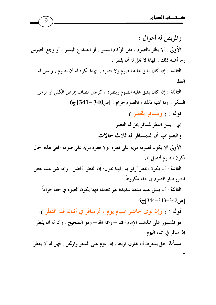والمريض له أحوال : الأولى : ألا يتأثر بالصوم ، مثل الزكام اليسير ، أو الصداع اليسير ، أو وجع الضرس وما أشبه ذلك ، فهذا لا يحل له أن يفطر . الثانية : إذا كان يشق عليه الصوم ولا يضره ، فهذا يكره له أن يصوم ، ويسن له الفط, . الثالثة : إذا كان يشق عليه الصوم ويضره ، كرجل مصاب بمرض الكلي أو مرض  $6$ السكر ، وما أشبه ذلك ، فالصوم حرام . [ص340 –341]ج قوله : ( ولمسافر يقصر ) إي : يسن الفطر لمسافر يحل له القصر . والصواب أن للمسافر له ثلاث حالات : الأولى:ألا يكون لصومه مزية على فطره ،ولا فطره مزية على صومه ،ففي هذه الحال يكون الصوم أفضل له. الثانية : أن يكون الفطر أرفق به ،فهنا نقول: إن الفطر أفضل ، وإذا شق عليه بعض الشئ صار الصوم في حقه مكروهاً . الثالثة : أن يشق عليه مشقة شديدة غير محتملة فهنا يكون الصوم في حقه حراماً .  $67[344-343-342]$ [9] قوله : ( وإن نوى حاضر صيام يوم ، ثم سافر في أثنائه فله الفطر ). هو المشهور على المذهب الإمام أحمد – رحمه الله – وهو الصحيح . وأن له أن يفطر إذا سافر في أثناء اليوم . مسألَّة :هل يشترط أن يفارق قريته ، إذا عزم على السفر وارتحل ، فهل له أن يفطر

 $\pmb{\varsigma}$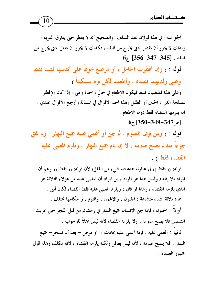10

الجواب : في هذا قولان عند السلف ؛والصحيح أنه لا يفطر حتى يفارق القرية ، ولذلك لا يجوز أن يقصر حتى يخرج من البلد ، فكذلك لا يجوز أن يفعل حتى يخرج من  $6_{\overline{c}}$  [356-347-345] . البلد

قوله : ( وإن أفطرت الحامل ، أو مرضع خوفاً على أنفسها قضتا فقط

، وعلى ولديهما قضتاه ، وأطعمتا لكل يوم مسكيناً )

وعلى هذا فتقضيان فقط فيكون الإطعام في حال واحدة وهي : إذا كان الإفطار لمصلحة الغير ، الجنين أو الطفل وهذا أحد الأقوال في المسألة وأرجح الأقوال عندي .. أنه يلزمها القضاء فقط دون الإطعام .

## $67$ [350-349-347]

قوله : ( ومن نوى الصوم ، ثم جن أو أغمى عليه جميع النهار ، ولم يفق جزءاً منه لم يصح صومه ، لا إن نام جميع النهار ، ويلزم المغمى عليه القضاء فقط ) .

قوله: (( فقط )) في عبارته هذه فيه شيء من الخلل؛ لأن قوله: (( فقط )) يوهم أن المراد بلا إطعام وليس هذا هو المراد ، بل المراد أن المغمى عليه من هؤلاء الثلاثة هو الذي يلزمه القضاء ، ولهذا لو قال : ويلزم المغمى عليه فقط القضاء لكان أبين . هذه ثلاثة أشياء متشابهة : الجنون ، والإغماء ، والنوم ، وأحكامها تختلف . أو لاً : الجنون ، فإذا جن الإنسان جميع النهار في رمضان من قبل الفجر حتى غربت الشمس فلا يصح صومه ، ولا يلزمه القضاء لأنه ليس أهلاً للوجوب . ثانياً : المغمى عليه ، فإذا أغمى عليه بحادث ، أو مرض – بعد أن تسحر– جميع

النهار ، فلا يصح صومه ، لأنه ليس بعاقل ولكنه يلزمه القضاء ، لأنه مكلف وهذا قول جمهور العلماء .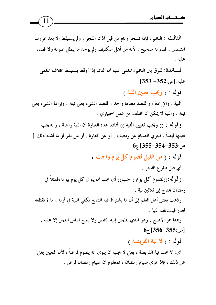الثالث : النائم ، فإذا تسحر ونام من قبل أذان الفجر ، ولم يستيقظ إلا بعد غروب الشمس ، فصومه صحيح ، لأنه من أهل التكليف ولم يوجد ما يبطل صومه ولا قضاء عليه .

11

فسائدة:الفرق بين النائم والمغمى عليه أن النائم إذا أوقظ يستيقظ بخلاف المغمى  $[353 - 352:$ عليه. [ص:252

قوله : ( ويجب تعيين النية )

النية ، والإرادة ، والقصد معناها واحد ، فقصد الشيء يعني نيته ، وإرادة الشيء يعني نيته ، والنية لا يمكن أن تختلف من عمل اختياري .

و قو له : (( ويجب تعيين النية )) أفادنا هذه العبارة أن النية واجبة ، وأنه يجب تعينها أيضاً ، فينوي الصيام عن رمضان ، أو عن كفارة ، أو عن نذر أو ما أشبه ذلك [  $6.55 - 354 - 353.$ ص:353–354

> قوله : ( من الليل لصوم كل يوم واجب ) أي قبل طلوع الفجر .

وقوله: ((لصوم كل يوم واجب)) أي يجب أن ينوي كل يوم بيومه،فمثلاً في رمضان يحتاج إلى ثلاثين نية .

وذهب بعض أهل العلم إلى أن ما يشترط فيه التتابع تكفي النية في أوله ، ما لم يقطعه لعذر فيستأنف النية ،

وهذا هو الأصح ، وهو الذي تطمئن إليه النفس ولا يسع الناس العمل إلا عليه .  $67$ [ص:355–356)

قوله : ( لا نية الفريضة ) .

أي: لا تجب نية الفريضة ، يعني لا يجب أن ينوي أنه يصوم فرضاً ، لأن التعيين يغني عن ذلك ، فإذا نوى صيام رمضان ، فمعلوم أن صيام رمضان فرض .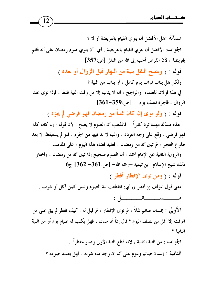مسألَّة :هل الأفضل أن ينوي القيام بالفريضة أو لا ؟ الجواب: الأفضل أن ينوي القيام بالفريضة ، أي: أن ينوي صوم رمضان على أنه قائم بفريضة ، لأن الفرض أحب إلى الله من النفل [ص:357] قوله : ( ويصح النفل بنية من النهار قبل الزوال أو بعده ) ولكن هل يثاب ثواب يوم كامل ، أو يثاب من النية ؟ في هذا قولان للعلماء :والراجح ، أنه لا يثاب إلا من وقت النية فقط ، فإذا نوى عند الزوال ، فأجره نصف يوم . [ص:359-361] قوله : ( ولو نوى إن كان غداً من رمضان فهو فرضي لم يجزه ) هذه مسألة مهمة ترد كثيراً .. فالمذهب أن الصوم لا يصح ؛ لأن قوله : إن كان كذا فهو فرضي ، وقع على وجه التردد ، والنية لا بد فيها من الجزم ، فلو لم يستيقظ إلا بعد طلوع الفجر ، ثم تبين أنه من رمضان ، فعليه قضاء هذا اليوم ، على المذهب . والرواية الثانية عن الإمام أحمد : أن الصوم صحيح إذا تبين أنه من رمضان ، وأختار  $6$ ذلك شيخ الإسلام ابن تيميه –رحمه الله–  $[-362 - 361]$ ج قوله : ( ومن نوى الإفطار أفطر ) معنى قول المؤلف (( أفطر )) أي: انقطعت نية الصوم وليس كمن أكل أو شرب . الأُولَى : إنسان صائم نفلاً ، ثم نوى الإفطار ، ثم قيل له : كيف تفطر لم يبق على من الوقت إلا أقل من نصف اليوم ؟ قال إذاً أنا صائم ، فهل يكتب له صيام يوم أو من النية الثانية ؟ الجواب : من النية الثانية ، لإنه قطع النية الأولى وصار مفطراً .

الثانية : إنسان صائم وعزم على أنه إن وجد ماء شربه ، فهل يفسد صومه ؟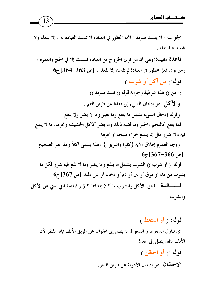الجواب : لا يفسد صومه ؛ لأن المحظور في العبادة لا تفسد العبادة به ، إلا بفعله ولا تفسد بنية فعله . قاعدة مفيدة:وهي أن من نوى الخروج من العبادة فسدت إلا في الحج والعمرة ،  $6$ ومن نوى فعل محظور في العبادة لم تفسد إلا بفعله . [ص:363–364] ج قوله:( من أكل أو شرب ) (( من )) هذه شرطية وجوابه قوله (( فسد صومه )) والأكل: هو إدخال الشيء إلى معدة عن طريق الفم . وقولنا إدخال الشيء يشمل ما ينفع وما يضر وما لا يضر ولا ينفع فما ينفع كاللحم والخبز وما أشبه ذلك وما يضر كأكل الحشيشه ونحوها، ما لا ينفع فيه ولا ضرر مثل إن يبتلع خرزة سبحة أو نحوها. ووجه العموم إطلاق الآية {كلوا واشربوا } وهذا يسمى أكلاً وهذا هو الصحيح  $6.567 - 366$ . [ص: 366-367] قوله (( أو شرب )) الشرب يشمل ما ينفع وما يضر وما لا نفع فيه ضرر فكل ما يشرب من ماء أو مرق أو لبن أو دم أو دخان أو غير ذلك [ص:367]ج6 فــــــائدة :يلحق بالأكل والشرب ما كان بمعناها كالإبر المغذية التي تغني عن الأكل والشرب .

قوله: ( أو استعط ) أي تناول السعوط و السعوط ما يصل إلى الجوف عن طريق الأنف فإنه مفطر لأن الأنف منفذ يصل إلى المعدة . قوله : ( أو احتقن )

الاحتقان: هو إدخال الأدوية عن طريق الدبر .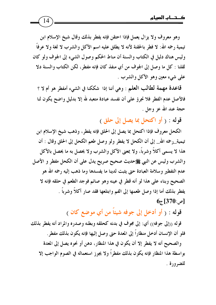وهو معروف ولا يزال يعمل فإذا احتقن فإنه يفطر بذلك وقال شيخ الإسلام ابن تيمية رحمه الله: لا فطر بالحقنة لأنه لا يطلق عليه اسم الأكل والشرب لا لغة ولا عرفاً وليس هناك دليل في الكتاب والسنة أن مناط الحكم وصول الشيء إلى الجوف ولو كان لقلنا : كل ما وصل إلى الجوف من أي منفذ كان فإنه مفطر ، لكن الكتاب والسنة دلا على شيء معين وهو الأكل والشرب .

قاعدة مهمة لطالب العلم : وهي أننا إذا شككنا في الشيء أمفطر هو أم لا ؟ فالأصل عدم الفطر فلا نجرؤ على أن نفسد عبادة متعبد لله إلا بدليل واضح يكون لنا حجة عند الله عز وجل .

قوله : ( أو اكتحل بما يصل إلى حلق )

الكحل معروف فإذا اكتحل بما يصل إلى الحلق فإنه يفطر، وذهب شيخ الإسلام ابن تيمية\_رحمه الله\_ إلى أن الكحل لا يفطر ولو وصل طعم الكحل إلى الحلق وقال : أن هذا لا يسمى أكلاً وشرباً، ولا بمعنى الأكل والشرب ولا يحصل به ما يحصل بالأكل والشرب وليس عن النبي ﷺحديث صحيح صريح يدل على أن الكحل مفطر و الأصل عدم التفطير وسلامة العبادة حتى يثبت لدينا ما يفسدها وما ذهب إليه رحمه الله هو الصحيح وبناء على هذا لو أنه قطر في عينه وهو صائم فوجد الطعم في حلقه فإنه لا يفطر بذلك أما إذا وصل طعمها إلى الفم وابتلعها فقد صار أكلاً وشرباً .  $6_{\bar{c}}$ [370:م

قوله : ﴿ أَوِ أَدْخَلَ إِلَى جَوْفَهُ شَيْئًا مِن أَيِ مَوْضِعٍ كَانَ ﴾

قوله ((إلى جوفه)) أي: إلى مجوف في بدنه كحلقه وبطنه وصدره والمراد أنه يفطر بذلك فلو أن الإنسان أدخل منظاراً إلى المعدة حتى وصل إليها فإنه يكون بذلك مفطر .

والصحيح أنه لا يفطر إلا أن يكون في هذا المنظار، دهن أو نحوه يصل إلى المعدة بواسطة هذا المنظار فإنه يكون بذلك مفطراً ولا يجوز استعماله في الصوم الواجب إلا للضرورة .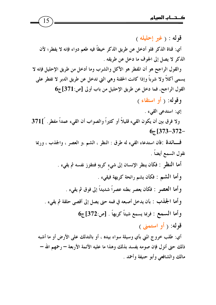15

قوله : (غير إحليله )

أي: قناة الذكر فلو أدخل عن طريق الذكر خيطاً فيه طعم دواء فإنه لا يفطر؛ لأن الذكر لا يصل إلى الجوف ما دخل عن طريقه .

والقول الراجح هو أن المفطر هو الأكل والشرب وما أدخل من طريق الإحليل فإنه لا يسمى أكلاً ولا شرباً وإذا كانت الحقنة وهي التي تدخل عن طريق الدبر لا تفطر على القول الراجح، فما دخل عن طريق الإحليل من باب أولى [ص:371]ج6 وقوله: ( أو استقاء )

إي: استدعى القيء .

ولا فرق بين أن يكون القيء قليلاً أو كثيراً والصواب أن القيء عمداً مفطر. [371  $67$ [373-372-

فسائدة :فأن استدعاء القيء له طرق : النظر ، الشم ،و العصر ، والجذب ، وربما نقول السمع أيضاً .

> أما النظر : فكأن ينظر الإنسان إلى شيء كريهٍ فتتقزز نفسه ثم يقيء . وأما الشم : فكأن يشم رائحة كريهة فيقيء . وأما العصر : فكأن يعصر بطنه عصراً شديداً إلى فوق ثم يقيء .

و أما الجذب : بأن يدخل أصبعه في فمه حتى يصل إلى أقصى حلقة ثم يقيء . وأما السمع : فربما يسمع شيئاً كريهاً . [ص:372] ج6

قوله: ( أو استمنى )

أي: طلب خروج المني بأي وسيلة سواء بيده ، أو بالتدلك على الأرض أو ما أشبه ذلك حتى أنزل فإن صومه يفسد بذلك وهذا ما عليه الأئمة الأربعة — رحمهم الله — مالك والشافعي وأبو حنيفة وأحمد .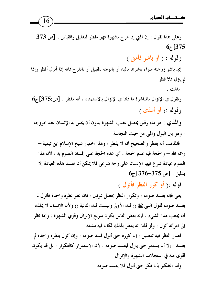وعلى هذا نقول : إن المني إذ خرج بشهوة فهو مفطر للدليل والقياس . [ص:373- $67[375]$ وقوله : ( أو بأشر فأمني ) إي باشر زوجته سواء باشرها باليد أو بالوجه بتقبيل أو بالفرج فانه إذا أنزل أفطر وإذا لم ينزل فلا فطو بذلك . ونقول في الإنزال بالمباشرة ما قلنا في الإنزال بالاستمناء ، أنه مفطر . [ص:375] ج6 وقوله :( أو أمذى ) والمُذي : هو ماء رقيق يحصل عقيب الشهوة بدون أن يحس به الإنسان عند خروجه ، وهو بين البول والمني من حيث النجاسة . فالمذهب أنه يفطر والصحيح أنه لا يفطر ، وهذا اختيار شيخ الإسلام ابن تيمية — رحمه الله – والحجة فيه عدم الحجة ، أي عدم الحجة على إفساد الصوم به ، لأن هذا الصوم عبادة شرع فيها الإنسان على وجه شرعي فلا يمكن أن نفسد هذه العبادة إلا

 $6_{\tilde{c}}$  بدلیل . [ص:375–376)

قوله : ( أو كرر النظر فأنزل )

يعني فإنه يفسد صومه ، وتكرار النظر يحصل بمرتين ، فإن نظر نظرة واحدة فأنزل لم يفسد صومه لقول النبي ﷺ (( لك الأولى وليست لك الثانية )) ولأن الإنسان لا يملك أن يجتنب هذا الشيء ، فإنه بعض الناس يكون سريع الإنزال وقوي الشهوة ؛ وإذا نظر إلى امرأته أنزل ، ولو قلنا إنه يفطر بذلك لكان فيه مشقة .

فصار النظر فيه تفصيل ، إن كرره حتى أنزل فسد صومه ، وإن أنزل بنظرة واحدة لم يفسد ، إلا أن يستمر حتى يتزل فيفسد صومه ، لأن الاستمرار كالتكرار ، بل قد يكون أقوى منه في استجلاب الشهوة والانزال .

وأما التفكير بأن فكر حتى أنزل فلا يفسد صومه .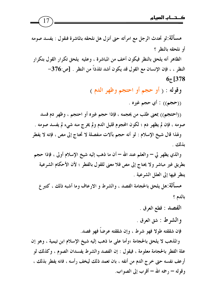

مسألة:لو تحدث الرجل مع امرأته حتى أنزل هل نلحقه بالماشرة فنقول : يفسد صومه أو نلحقه بالنظر ؟ الظاهر أنه يلحق بالنظر فيكون أخف من المباشرة ، وعليه يلحق تكرار القول بتكرار النظر ، ، فإن الإنسان مع القول قد يكون أشد تلذذاً من النظر . [ص:376- $67[378]$ 

وقوله : ﴿ أَوْ حَجَّمْ أَوِ احْتَجْمْ وَظَهْرِ اللَّهِ ﴾

((حجم)) : أي حجم غيره .

((احتجم)) بمعنى طلب من يحجمه ، فإذا حجم غيره أو احتجم ، وظهر دم فسد صومه ، فإن لم يظهر دم ؛ لكون المحوم قليل الدم ولم يخرج منه شيء لم يفسد صومه . ولهذا قال شيخ الإسلام : لو أنه حجم بآلات منفصلة لا تحتاج إلى مص ، فإنه لا يفطر ىذلك .

والذي يظهر لي — والعلم عند الله — أن ما ذهب إليه شيخ الإسلام أولى ، فإذا حجم بطريق غير مباشر ولا يحتاج إلى مص فلا معنى للقول بالفطر ؛ لأن الأحكام الشرعية ينظر فيها إلى العلل الشرعية .

مسألة:هل يلحق بالحجامة الفصد ، والشرط و الارعاف وما أشبه ذلك ، كتبر ع بالدم ؟

الفصد : قطع العرق .

والشرط : شق العرق .

فإن شققته طولا فهو شرط ، وإن شققته عرضاً فهو فصد.

والمذهب لا يلحق بالحجامة ؛وأما على ما ذهب إليه شيخ الإسلام ابن تيمية ، وهو إن علة الفطر بالحجامة معلومة ، فيقول : إن الفصد والشرط يفسدان الصوم ، وكذلك لو أرعف نفسه حتى خرج الدم من أنفه ، بان تعمد ذلك ليخف رأسه ، فانه يفطر بذلك ، وقوله – , حمه الله – أقرب إلى الصواب.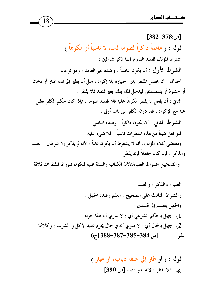$[382 - 378:$ [ص:

18 قوله : ( عامداً ذاكراً لصومه فسد لا ناسياً أو مكرهاً ) اشترط المؤلف لفسد الصوم فيما ذكر شرطين : الشَّوط الأول : أن يكون عامداً ، وضده غير العامد ، وهو نوعان : أحدهما : أن يحصل المفطر بغير اختياره بلا إكراه ، مثل أن يطير إلى فمه غبار أو دخان أو حشرة أو يتمضمض فيدخل الماء بطنه بغير قصد فلا يفطر . الثاني : أن يفعل ما يفطر مكرهاً عليه فلا يفسد صومه ، فإذا كان حكم الكفر يعفي عنه مع الإكراه ، فما دون الكفر من باب أولى . الشرط الثاني : أن يكون ذاكراً ، وضده الناسي . فلو فعل شيئاً من هذه المفطرات ناسياً ، فلا شيء عليه .

ومقتضى كلام المؤلف، أنه لا يشترط أن يكون عالمًا ، لأنه لم يذكر إلا شرطين ، العمد والذكر ، فإن كان جاهلاً فإنه يفطر .

والصحيح اشتراط العلم،لدلالة الكتاب والسنة عليه فتكون شروط المفطرات ثلاثة

قوله : ( أو طار إلى حلقه ذباب، أو غبار ) إي : فلا يفطر ؛ لأنه بغير قصد [ص:390]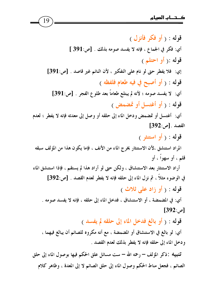قوله : ( أو فكر فأنزل ) أي: فكر في الجماع ، فإنه لا يفسد صومه بذلك . [ص:391 ] قوله :( أو احتلم ) إي: فلا يفطر حتى لو نام على التفكير ، لأن النائم غير قاصد . [ص:391] قوله : ( أو أصبح في فيه طعام فلفظه ) أي: لا يفسد صومه ؛ لأنه لم يبتلع طعاماً بعد طلوع الفجر . [ص:391] قوله : ( أو أغتسل أو تمضمض ) أي: أغتسل أو تمضمض ودخل الماء إلى حلقه أو وصل إلى معدته فإنه لا يفطر ؛ لعدم  $[392:$ القصد . [ص قوله : ( أو استنثر ) المراد استنشق ،لأن الاستنثار يخرج الماء من الأنف ، فإما يكون هذا من المؤلف سبقه قلم ، أو سهواً ، أو أراد الاستنثار بعد الاستنشاق ، ولكن حتى لو أراد هذا لم يستقم ، فإذا استنشق الماء في الوضوء مثلاً ، ثم نزل الماء إلى حلقه فإنه لا يفطر لعدم القصد . [ص:392] قوله : ( أو زاد علي ثلاث ) أي: في المضمضة ، أو الاستنشاق ، فدخل الماء إلى حلقه ، فإنه لا يفسد صومه .  $[392:$ [ص قوله : ( أو بالغ فدخل الماء إلى حلقه لم يفسد ) أي: لو بالغ في الاستنشاق أو المضمضة ، مع أنه مكروه للصائم أن يبالغ فيهما ، ودخل الماء إلى حلقه فإنه لا يفطر بذلك لعدم القصد . تنبيبه :ذكر المؤلف – رحمه الله – ست مسائل علق الحكم فيها بوصول الماء إلى حلق

19

الصائم ، فجعل مناط الحكم وصول الماء إلى حلق الصائم لا إلى المعدة ، وظاهر كلام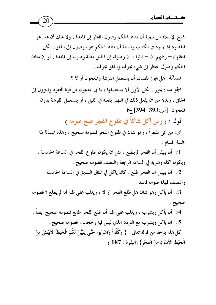20

شيخ الإسلام ابن تيمية أن مناط الحكم وصول المفطر إلى المعدة ، ولا شك أن هذا هو المقصود إذ لم يرد في الكتاب والسنة أن مناط الحكم هو الوصول إلى الحلق ، لكن الفقهاء – رحمهم الله – قالوا : إن وصوله إلى الحلق مظنة وصوله إلى المعدة ، أو إن مناط الحكم وصول المفطر إلى شيء مجوف والحلق مجوف . مسألة: هل يجوز للصائم أن يستعمل الفرشة والمعجون أو لا ؟ الجواب : يجوز ، لكن الأولى ألا يستعملها ؛ لما في المعجون من قوة النفوذ والتزول إلى الحلق ، وبدلاً من أن يفعل ذلك في النهار يفعله في الليل ، أو يستعمل الفرشة بدون  $6_7$  [394-393]. المعجون قوله : ( ومن أكل شاكاً في طلوع الفجر صح صومه ) أي: من أتى مفطراً ، وهو شاك في طلو ع الفجر فصومه صحيح ، وهذه المسألة لها خمسة أقسام :

1) أن يتيقن أن الفجر لم يطلع ، مثل أن يكون طلوع الفجر في الساعة الخامسة ، ويكون أكله وشربه في الساعة الرابعة والنصف فصومه صحيح .

2) أن يتيقن أن الفجر طلع ، كأن يأكل في المثال السابق في الساعة الخامسة والنصف فهذا صومه فاسد .

3) أن يأكل وهو شاك هل طلع الفجر أو لا ، ويغلب على ظنه أنه لم يطلع ؟ فصومه صحيح .

4) أن يأكل ويشرب ، ويغلب على ظنه أن طلع الفجر طالع فصومه صحيح أيضاً . 5) أن يأكل ويشرب مع التردد الذي ليس فيه رجحان ، فصومه صحيح . كل هذا يؤخذ من قوله تعالى : { وَكُلُواْ وَاشْرَبُواْ حَتَّى يَتَبَيَّنَ لَكُمُ الْخَيْطُ الأَبْيَضُ مِنَ الْخَيْطِ الأَسْوَدِ مِنَ الْفَجْرِ} (البقرة : 187 )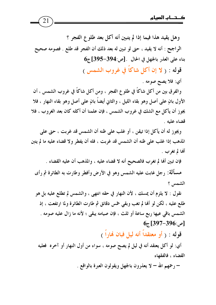وهل يقيد هذا فيما إذا لم يتبين أنه أكل بعد طلو ع الفجر ؟ الراجح : أنه لا يقيد ، حتى لو تبين له بعد ذلك أن الفجر قد طلع . فصومه صحيح  $6_{\overline{6}}$  بناء على العذر بالجهل في الحال . [ص:394-395] ج

21

قوله : ( لا إن أكل شاكاً في غروب الشمس )

أي: فلا يصح صومه .

والفرق بين من أكل شاكًا في طلوع الفجر ، ومن أكل شاكًا في غروب الشمس ، أن الأول بانٍ على أصل وهو بقاء الليل ، والثاني أيضاً بانٍ على أصل وهو بقاء النهار ، فلا يجوز أن يأكل مع الشك في غروب الشمس ، فإن علمنا أن أكله كان بعد الغروب ، فلا قضاء عليه .

ويجوز له أن يأكل إذا تيقن ، أو غلب على ظنه أن الشمس قد غربت ، حتى على المذهب إذا غلب على ظنه أن الشمس قد غربت ، فله أن يفطر ولا قضاء عليه ما لم يتبن ألها لم تغرب .

فإن تبين ألها لم تغرب فالصحيح أنه لا قضاء عليه ، والمذهب أن عليه القضاء . مسألة: رجل غابت عليه الشمس وهو في الأرض وأفطر وطارت به الطائرة ثم رأى الشمس ؟

نقول : لا يلزم أن يمسك ، لأن النهار في حقه انتهى ، والشمس لم تطلع عليه بل هو طلع عليه ، لكن لو أَلها لم تغب وبقى خمس دقائق ثم طارت الطائرة ولما ارتفعت ، إذ الشمس باقي عيها ربع ساعة أو ثلث ، فإن صيامه يبقى ؛ لأنه ما زال عليه صومه .  $65 [397 - 396:$ ص:

قوله : ( أو معتقداً أنه ليل فبان نهاراً )

أي: لو أكل يعتقد أنه في ليل لم يصح صومه ، سواء من أول النهار أو آخره فعليه القضاء ، فالفقهاء

– رحمهم الله – لا يعذرون بالجهل ويقولون العبرة بالواقع .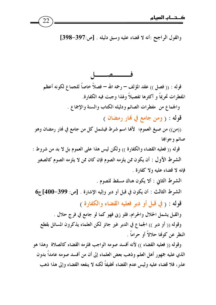

والقول الراجح :أنه لا قضاء عليه وسبق دليله . [ص:397-398]

فـــــــصـــــــــل قوله : (( فصل )) عقد المؤلف – رحمه الله – فصلاً خاصاً للجماع لكونه أعظم المفطرات تحريماً و أكثرها تفصيلاً ولهذا وجبت فيه الكفارة. والجماع من مفطرات الصائم ودليله الكتاب والسنة والإجماع . قوله : ( ومن جامع في هَارِ رمضان ) ((من)) من صيغ العموم؛ لأفما اسم شرط فيشمل كل من جامع في فمار رمضان وهو صائم وجوابها قوله (( فعليه القضاء والكفارة )) ولكن ليس هذا على العموم بل لا بد من شروط : الشرط الأول : أن يكون ممن يلزمه الصوم فإن كان ممن لا يلزمه الصوم كالصغير فإنه لا قضاء عليه ولا كفارة . الشرط الثاني : ألا يكون هناك مسقط للصوم . الشرط الثالث : أن يكون في قبل أو دبر وإليه الإشارة . [ص: 399-400] ج6 قوله : ( في قبل أو دبر فعليه القضاء والكفارة ) والقبل يشمل الحلال والحرام، فلو زني فهو كما لو جامع في فرج حلال . وقوله (( أو دبر )) الجماع في الدبر غير جائز لكن العلماء يذكرون المسائل بقطع النظر عن كوفما حلالاً أو حراماً . وقوله (( فعليه القضاء )) لأنه أفسد صومه الواجب فلزمه القضاء كالصلاة ۖ وهذا هو

الذي عليه جمهور أهل العلم وذهب بعض العلماء إلى أن من أفسد صومه عامداً بدون عذر، فلا قضاء عليه وليس عدم القضاء تخفيفاً لكنه لا ينفعه القضاء وإلى هذا ذهب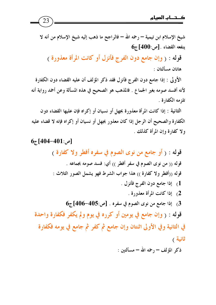23

 $6_{7}$ [404-401] ج

شيخ الإسلام ابن تيمية — رحمه الله — فالراجح ما ذهب إليه شيخ الإسلام من أنه لا  $6$ ينفعه القضاء . [ص:400] ج

قوله : ( وإن جامع دون الفرج فأنزل أو كانت المرأة معذورة ) هاتان مسألتان :

الأولى : إذا جامع دون الفرج فأنزل فقد ذكر المؤلف أن عليه القضاء دون الكفارة لأنه أفسد صومه بغير الجماع . فالمذهب هو الصحيح في هذه المسألة وعن أحمد رواية أنه تلزمه الكفارة .

الثانية : إذا كانت المرأة معذورة بجهل أو نسيان أو إكراه فإن عليها القضاء دون الكفارة والصحيح أن الرجل إذا كان معذور بجهل أو نسيان أو إكراه فإنه لا قضاء عليه ولا كفارة وإن المرأة كذلك .

قوله : ﴿ أَوْ جَامَعَ مَنْ نُوى الصُّومِ فِي سَفَرِهِ أَفْطَرٍ وَلَا كَفَارِةٍ ﴾ قوله (( من نوى الصوم في سفر أفطر )) أي: فسد صومه بجماعه . قوله ((أفطر ولا كفارة )) هذا جواب الشرط فهو يشمل الصور الثلاث : 1) إذا جامع دون الفرج فأنزل . 2) إذا كانت المرأة معذورة .  $6_{\overline{c}}$  إذا جامع من نوى الصوم في سفره . [ص:405-406] ج قوله : ( وإن جامع في يومين أو كرره في يوم ولم يكفر فكفارة واحدة في الثانية وفي الأولى اثنتان وإن جامع ثم كفر ثم جامع في يومه فكفارة ثانية )

ذكر المؤلف – رحمه الله – مسألتين :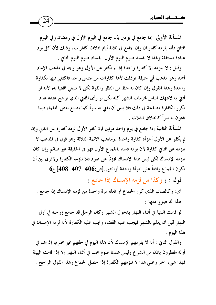المسألة الأولى :إذا جامع في يومين بأن جامع في اليوم الأول في رمضان وفي اليوم الثاني فأنه يلزمه كفارتان وإن جامع في ثلاثة أيام فثلاث كفارات، وذلك لأن كل يوم عيادة مستقلة ولهذا لا يفسد صوم اليوم الأول ًبفساد صوم اليوم الثاني .

وقيل : لا يلزمه إلا كفارة واحدة إذا لم يكفر عن الأول وهو وجه في مذهب الإمام أحمد وهو مذهب أبي حنيفة ؛وذلك لأفما كفارات من جنس واحد فاكتفى فيها بكفارة واحدة وهذا القول وإن كان له حظ من النظر والقوة لكن لا تنبغي الفتيا به؛ لأنه لو أفتى به لانتهك الناس محرمات الشهر كله لكن لو رأى المفتى الذي ترجح عنده عدم تكرر الكفارة مصلحة في ذلك فلا باس أن يفتى به سراً كما يصنع بعض العلماء فيما يفتون به سراً كالطلاق الثلاث .

المسألة الثانية:إذا جامع في يوم واحد مرتين فإن كفر الأول لزمه كفارة عن الثاني وإن لم يكفر عن الأول أجزأه كفارة واحدة .ومذهب الائمة الثلاثة وهو قول في المذهب لا يلزمه عن الثاني كفارة لأن يومه فسد بالجماع الأول فهو في الحقيقة غير صائم وإن كان يلزمه الإمساك لكن ليس هذا الإمساك مجزئاً عن صوم فلا تلزمه الكفارة ولافرق بين أن يكون الجماع واقعاً على امرأة واحدة أواثنتين. [ص:406–407-408] ج6

قوله : ( وكذا من لزمه الإمساك إذا جامع )

أي: وكالصائم الذي كرر الجماع أو فعله مرة واحدة من لزمه الإمساك إذا جامع . هذا له صور منها :

لو قامت البنية في أثناء النهار بدخول الشهر وكان الرجل قد جامع زوجته في أول النهار قبل أن يعلم بالشهر فيجب عليه القضاء وتجب عليه الكفارة لأنه لزمه الإمساك في هذا اليوم .

والقول الثاني : أنه لا يلزمهم الإمساك لأن هذا اليوم في حقهم غير محترم، إذ إلهم في أوله مفطرون بإذن من الشرع وليس عندنا صوم يجب في أثناء النهار إلا إذا قامت البينة فهذا شيء آخر وعلى هذا لا تلزمهم الكفارة إذا حصل الجماع وهذا القول الراجح .

24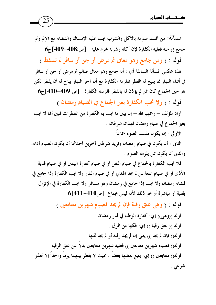مسألة: من أفسد صومه بالأكل والشرب يجب عليه الإمساك والقضاء مع الإثم ولو جامع زوجته فعليه الكفارة لإن أكله وشربه محرم عليه . [ص:408–409] ج قوله : ( ومن جامع وهو معافي ثم مرض أو جن أو سافر لم تسقط ) هذه عكس المسألة السابقة أي : أنه جامع وهو معافى صائم ثم مرض أو جن أو سافر في أثناء النهار مما يبيح له الفطر فتلزمه الكفارة مع أن آخر النهار يباح له أن يفطر لكن  $6$ هو حين الجماع كان ممن لم يؤذن له بالفطر فلزمته الكفارة . [ص:409–410] ج

قوله : ( ولا تجب الكفارة بغير الجماع في الصيام رمضان )

أراد المؤلف — رحمهم الله — إن يبين ما تجب به الكفارة من المفطرات فبين ألها لا تجب بغير الجماع في صيام رمضان فهذان شرطان :

الأولى : إن يكون مفسد الصوم جماعاً .

الثاني : أن يكون في صيام رمضان ونزيد شرطين آخرين أحدهما أن يكون الصيام أداء، والثاني أن يكون ممن يلزمه الصوم .

فلا تجب الكفارة بالجماع في صيام النفل أو في صيام كفارة اليمين أو في صيام فدية الأذي أو في صيام المتعة لمن لم يجد الهدي أو في صيام النذر ولا تجب الكفارة إذا جامع في قضاء رمضان ولا تجب إذا جامع في رمضان وهو مسافر ولا تجب الكفارة في الإنزال بقلبة أو مباشرة أو نحو ذلك لأنه ليس بجماع . [ص410-411]6

قوله : ( وهي عتق رقبة فإن لم يجد فصيام شهرين متتابعين ) قوله ((وهي)) إي: كفارة الوطء في فمار رمضان . قوله (( عتق رقبة )) إي: فكها من الرق . قوله(( فإن لم يجد )) يعني إن لم يجد رقبة أو لم يجد ثمنها . قوله(( فصيام شهرين متتابعين )) فعليه شهرين متتابعين بدلاً عن عتق الرقبة . قوله(( متتابعين )) إي: يتبع بعضها بعضاً ، بحيث لا يفطر بينهما يوماً واحداً إلا لعذر شرعي .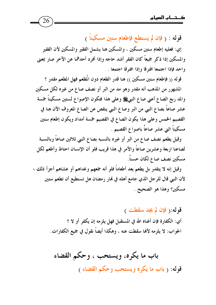قوله : ( فإن لم يستطع فإطعام ستين مسكيناً ) إي: فعليه إطعام ستين مسكين ، والمسكين هنا يشمل الفقير والمسكين لأن الفقير والمسكين إذا ذكر جميعاً كان الفقر أشد حاجه وإذا أفرد أحدهما عن الآخر صار بمعنى واحد فإذا اجتمعا افترقا وإذا افترقا اجتمعا .

26

قوله (( فإطعام ستين مسكين )) هنا قدر الطعام دون المُطعم فهل المطعم مقدر ؟ المشهور من المذهب أنه مقدر وهو مد من البر أو نصف صاع من غيره لكل مسكين والمد ربع الصاع أعنى صاع النبيﷺ وعلى هذا فتكون الإصواع لستين مسكيناً خمسة عشر صاعاً بصاع النبي من البر وصاع النبي ينقص عن الصاع المعروف الآن هنا في القصيم الخمس وعلى هذا يكون الصاع في القصيم خمسة أمداد ويكون إطعام ستين مسكيناً اثني عشر صاعاً باصواع القصيم .

وقيل يطعم نصف صاع من البر أو غيره بالنسبه بصاع النبي ثلاثين صاعاً وبالنسبة لصاعنا اربعة وعشرين صاعاً والأمر في هذا قريب فلو أن الإنسان احتاط وأطعم لكل مسكين نصف صاع لكان حسناً.

وقِيلٍ إنه لا يتقدر بل يطعم يعد أطعاماً فلو أنه جمعهم وغداهم أو عشاهم أجزأ ذلك ؛ لأن النبي قال للرجل الذي جامع أهله في هُار رمضان هل تستطيع أن تطعم ستين مسكين؟ وهذا هو الصحيح .

> قوله: (فإن لم يجد سقطت ) أي: الكفارة فإن أغناه الله في المستقبل فهل يلزمه إن يكفر أو لا ؟ الجواب: لا يلزمه لأفما سقطت عنه ، وهكذا أيضاً نقول في جميع الكفارات.

باب ما يكره، ويستحب ، وحكم القضاء قوله: ( باب ما يكره ويستحب وحكم القضاء )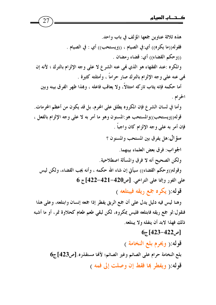هذه ثلاثة عناوين جمعها المؤلف في باب واحد. فقوله((ما يكره)) أي:في الصيام ، ((ويستحب)) أي : في الصيام . ((وحكم القضاء)) أي: قضاء رمضان . والمكره :عند الفقهاء هو الذي فمي عنه الشرع لا على وجه الإلزام بالترك ؛ لأنه إن فمي عنه على وجه الإلزام بالترك صار حراماً ، وأمثلته كثيرة . أما حكمه فإنه يثاب تاركه امتثالاً، ولا يعاقب فاعله ، وبمذا ظهر الفرق بينه وبين الحرام . وأما في لسان الشرع فإن المكروه يطلق على المحرم، بل قد يكون من أعظم المحرمات. قوله((ويستحب))والمستحب هو:المسنون وهو ما أمر به لا على وجه الإلزام بالفعل ، فإن أمر به على وجه الإلزام كان واجباً . سؤال:هل يفرق بين المستحب والمسنون ؟ الجواب: فرق بعض العلماء بينهما. ولكن الصحيح أنه لا فرق والمسألة اصطلاحية. وقوله((وحكم القضاء)) سيأتي إن شاء الله حكمه ، وأنه يجب القضاء، ولكن ليس على الفور وإنما على التراخي. [ص420-421-422]ج 6 قوله:( يكره جمع ريقه فيبتلعه ) وهنا ليس فيه دليل يدل على أن جمع الريق يفطر إذا جمعه إنسان وابتلعه، وعلى هذا فنقول:لو جمع ريقه فابتلعه فليس بمكروه، لكن لبقى طعم طعام كحلاوة تمر، أو ما أشبه

27

 $6_{7}$ [م 422–423)

ذلك فهذا لابد أن يتفله ولا يبتلعه.

قوله: (ويحرم بلع النخامة ) بلع النخامة حرام على الصائم وغير الصائم؛ لأفا مستقذره. [ص423]ج6 قوله:( ويفطر ها فقط إن وصلت إلى فمه )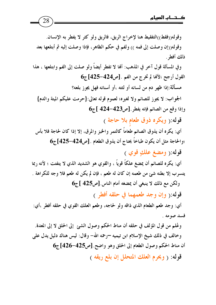وقوله((فقط))التفقيط هنا لإخراج الريق، فالريق ولو كثر لا يفطر به الإنسان. وقوله((إن وصلت إلى فمه )) ولفم في حكم الظاهر، فإذا وصلت إليه ثم أبتلعها بعد ذلك أفطر . وفي المسألة قول آخر في المذهب: أَهَا لا تفطر أيضاً ولو صلت إلى الفم وابتلعها ، هذا  $6_{\vec{c}}$  القول أرجح ؛لألها لم تخرج من الفم . [ص424–425] ج مسألة:إذا ظهر دم من لسانه أو لثته ،أو أسنانه فهل يجوز بلعه؟ الجواب: لا يجوز للصائم ولا لغيره؛ لعموم قوله تعالى:{حرمت عليكم الميتة والدم}  $6_{\overline{5}}$  وإذا وقع من الصائم فإنه يفطر . [ص423-424 ] ج قوله:( ويكره ذوق طعام بلا حاجة ) أي: يكره أن يذوق الصائم طعاماً كالتمر والخبز والمرق، إلا إذا كان لحاجة فلا بأس  $6_{\overline{5}}$  [425–424] والحاجة مثل أن يكون طباخاً يحتاج أن يذوق الطعام . [ص424–425] قوله: ( ومضغ علكِ قوي ) أي: يكره للصائم أن يمضغ علكاً قوياً ، والقوي هو الشديد الذي لا يتفتت ؛ لأنه ربما يتسرب إلا بطنه شئ من طعمه إن كان له طعم ، فإن لم يكن له طعم فلا وجه للكراهة . ولكن مع ذلك لا ينبغي أن يمضغه أمام الناس [ص425 ]ج6 قوله:( وإن وجد طعمهما في حلقه أفطر ) أي: وجد طعم الطعام الذي ذاقه ولو لحاجه، وطعم العلك القوي في حلقه أفطر ،أي: فسد صومه . وعُلم من قول المؤلف في حلقه أن مناط الحكم وصول الشئ إلى الحلق لا إلى المعدة. وخالف في ذلك شيخ الإسلام ابن تيميه –رحمه الله– وقال: ليس هناك دليل يدل على أن مناط الحكم وصول الطعام إلى الحلق وهو واضح. [ص425-426] ج6 قوله: ( ويحرم العلك المتحلل إن بلع ريقه )

28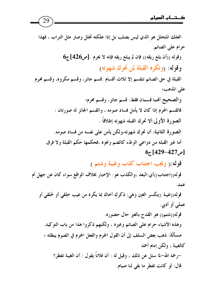العلك المتحلل هو الذي ليس بصلب بل إذا علكته تحلل وصار مثل التراب ، فهذا حرام على الصائم.  $6$ وقوله ((أن بلع ريقه)) فإن لم يبلع ريقه فإنه لا يحرم . [ص426] ج وقوله: (وتكره القبلة لمن تحرك شهوته) القبلة في حق الصائم تنقسم إلا ثلاث أقسام :قسم جائز، وقسم مكروه، وقسم محرم على المذهب؛ والصحيح أفمما قسمان فقط: قسم جائز، وقسم محرم؛ فالقسم المحرم إذا كان لا يأمل فساد صومه ، والقسم الجائز له صورتان : الصورة الأولى:ألا تحرك القبله شهوته إطلاقاً . الصورة الثانية: أن تحرك شهوته،ولكن يأمن على نفسه من فساد صومه. أما غير القبله من دواعي الوطء كالضم ونحوه ،فحكمها حكم القبلة ولا فرق.  $6_{\tilde{c}}$ [429–427] قوله: ( ويجب اجتناب كذب وغيبة وشتم ) قوله((اجتناب))أي:البعد ،والكذب هو: الإخبار بخلاف الواقع سواء كان عن جهل أم عمد. قوله((غيبة ))بكسر الغين وهي: ذكرك أخاك بما يكره من عيب خِلقي أو خُلقي أو عملي أو أدبي. قوله((شتم)) هو القدح بالغير حال حضوره. وهذه الأشياء حرام على الصائم وغيره ، ولكنهم ذكروا هذا من باب التوكيد. مسألة: ذهب بعض السلف إلى أن القول المحرم والفعل المحرم في الصوم يبطله ؛ كالغيبة ، ولكن إمام أحمد –رحمه الله–لما سئل عن ذلك ، وقيل له : أن فلاناً يقول : أن الغيبة تفطر؟

قال: لو كانت تفطر ما بقى لنا صيام.

29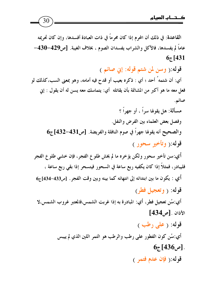30

القاعدة: في ذلك أن المحرم إذا كان محرماً في ذات العبادة أفسدها، وإن كان تحريمه عاماً لم يفسدها، فالأكل والشراب يفسدان الصوم ، بخلاف الغيبة. [ص429-430- $65[431]$ قوله:( وسن لمن شتم قوله: إين صائم ) أي: أن شتمه ُ أحد ؛ أي : ذكره بعيب أو قدح فيه أمامه، وهو بمعنى السب،كذلك لو فعل معه ما هو أكبر من المشاتمة بأن يقاتله أي: يتماسك معه يسن له أن يقول : إني صائم. مسألة: هل يقولها سراً ، أو جهراً ؟ وفصل بعض العلماء بين الفرض والنفل. والصحيح أنه يقولها جهراً في صوم النافلة والفريضة. [ص431-432] ج6 قوله:( وتأخير سحور ) أي:سن تأخير سحور ولكن يؤخره ما لم يخش طلوع الفجر، فإن خشي طلوع الفجر فليبادر، فمثلاً إذا كان يكفيه ربع ساعة في السحور فيتسحر إذا بقى ربع ساعة ، أي : يكون ما بين ابتدائه إلى انتهائه كما بينه وبين وقت الفجر . [ص433-434]ج6 قوله: ( وتعجيل فطر) أي:سُن تعجيل فطر، أي: المبادرة به إذا غربت الشمس،فالمعتبر غروب الشمس،لا  $[434]$ الأذان .  $[$ ص قوله: ( علي رطب ) أي:سُن كون الفطور على رطب والرطب هو التمر اللين الذي لم ييبس  $6_{\tilde{c}}$ [436م]. قوله: (فإن عدم فتمر)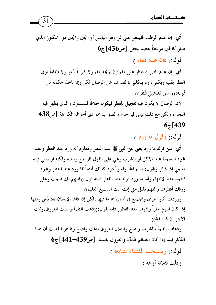$31$ 

لأن الوصال لا يكون فيه تعجيل للفطر فيكون خلافاً للمسنون والذي يظهر فيه التحريم ولكن مع ذلك ليس فيه جزم والصواب أن أدبي أحواله الكراهة. [ص438—  $67$ [439

قوله: ( وقول ما ورد )

أي: سن قوله ما ورد يعني عن النبي ﷺ عند الفطر ومعلوم أنه ورد عند الفطر وعند غيره التسمية عند الأكل أو الشرب وهي على القول الراجح واجبه ولكنه لو نسى فإنه يسمى إذا ذكر ويقول: بسم الله أوله وآخره كذلك أيضاً مما ورد عند الفطر وغيره الحمد عند الانتهاء وأما ما ورد قوله عند الفطر فمنه قول ((اللهم لك صمت وعلى رزقك أفطرت واللهم تقبل مني إنك أنت السميع العليم))

ووردت آثار أخرى والجميع في أسانيدها ما فيها ،لكن إذا قالها الإنسان فلا بأس ومنها إذا كان اليوم حاراً وشرب بعد الفطور فإنه يقول:((ذهب الظمأ،وابتلت العروق،وثبت الأجر إن شاء الله))

وذهاب الظمأ بالشرب واضح وابتلال العروق بذلك واضح وظاهر الحديث أن هذا  $6$ الذكر فيما إذا كان الصائم ظمآن والعروق يابسة . [ص439-441] ج

قوله:( ويستحب القضاء متتابعاً )

و ذلك لثلاثة أوجه :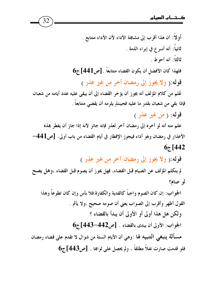أو لا : أن هذا أقرب إلى مشابهة الأداء لأن الأداء متتابع . ثانياً: أنه أسرع في إبراء الذمة . ثالثاً: أنه أحوط .  $6$ فلهذا كان الأفضل أن يكون القضاء متتابعاً . [ص441] ج قوله: ( ولا يجوز إلى رمضان أخر من غير عذر ) عُلم من كلام المؤلف أنه يجوز أن يؤخر القضاء إلى أن يبقى عليه عدد أيامه من شعبان فإذا بقى من شعبان بقدر ما عليه فحينئذٍ يلزمه أن يقضى متتابعاً . قوله: ( من غير عذر ) علم منه أنه لو أخره إلى رمضان آخر لعذر فإنه جائز لأنه إذا جاز أن يفطر بمذه الأعذار في رمضان وهو أداء فيجوز الإفطار في أيام القضاء من باب أولى. [ص441–  $67[442]$ قوله:( ولا يجوز إلى رمضان آخر من غير عذر ) لم يتكلم المؤلف عن الصيام قبل القضاء، فهل يجوز أن يصوم قبل القضاء ،وهل يصح لو صام؟ الجو اب: إن كان الصوم واجباً كالفدية والكفارة فلا بأس وإن كان تطوعاً وهذا القول أظهر وأقرب إلى الصواب يعني أن صومه صحيح ،ولا يأثم . ولكن هل هذا أولى أو الأولى أن يبدأ بالقضاء ؟  $6$ الجواب: الأولى أن يبدى بالقضاء . [ص442-443]ج مسألة ينبغي التنبيه لها :وهي أن الأيام الستة من شوال لا تقدم على قضاء رمضان فلو قدمت صارت نفلاً مطلقاً ، ولم يحصل على ثوابها . [ص443] ج6

32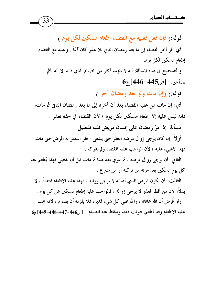قوله: ( فإن فعل فعليه مع القضاء إطعام مسكين لكل يوم ) أي: لو أخر القضاء إلى ما بعد رمضان الثاني بلا عذر كان آثمًا ، وعليه مع القضاء إطعام مسكين لكل يوم. والصحيح في هذه المسألة: أنه لا يلزمه أكثر من الصيام الذي فاته إلا أنه يأثم

## $6_{\tilde{c}}$  بالتأخير. [ص445–446]

قوله: (وإن مات ولو بعد رمضان آخر )

أي: إن مات من عليه القضاء بعد أن أخره إلى ما بعد رمضان الثاني ثم مات؛ فإنه ليس عليه إلا إطعام مسكين لكل يوم ؛ لأن القضاء في حقه تعذر . مسألة: إذا مرّ رمضان على إنسان مريض ففيه تفصيل :

أو لاً: إن كان يرجى زوال مرضه انتظر حتى يشفى ، فلو استمر به المرض حتى مات فهذا لاشيء عليه ؛ لأن الواجب عليه القضاء ولم يدركه .

الثاني: أن يرجى زوال مرضه ، ثم عوفي بعد هذا ثم مات قبل أن يقضي فهذا يُطعم عنه کل یوم مسکین بعد موته من ترکته أو من متبر ع .

الثالث: أن يكون المرض الذي أصابه لا يرجى زواله ، فهذا عليه الإطعام ابتداءً ، لا بدلاً؛ لان من أفطر لعذر لا يرجى زواله ، فالواجب عليه إطعام مسكين عن كل يوم . ولو فُرض أن الله عافاه ، والله على كل شيء قديرٍ، فلا يلزمه أن يصوم ، لأنه يجب عليه الإطعام وقد أطعم، فبرئت ذمته وسقط عنه الصيام . [ص446-447-448]ج6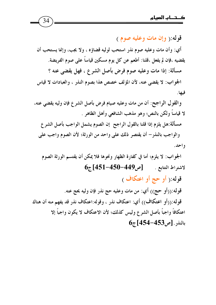قوله:( وإن مات وعليه صوم ) أي: وأن مات وعليه صوم نذر استحب لوليه قضاؤه ، ولا يجب، وإنما يستحب أن يقضيه ،فإن لم يفعل ،قلنا: أطعم عن كل يوم مسكين قياساً على صوم الفريضة. مسألة: إذا مات وعليه صوم فرض بأصل الشرع ، فهل يقضي عنه ؟ الجو اب: لا يقضي عنه، لأن المؤلف خصص هذا بصوم النذر ، والعبادات لا قياس فيها.

والقول الراجح: أن من مات وعليه صيام فرض بأصل الشرع فإن وليه يقضي عنه، لا قياساً ولكن بالنص؛ وهو مذهب الشافعي وأهل الظاهر . مسألة:هل يلزم إذا قلنا بالقول الراجح إن الصوم يشمل الواجب بأصل الشرع

والواجب بالنذر– أن يقتصر ذلك على واحد من الورثة؛ لأن الصوم واجب على و احد .

الجواب: لا يلزم؛ أما في كفارة الظهار ونحوها فلا يمكن أن يقتسم الورثة الصوم  $6\pi$  [451-450-449 مر 149-451)  $50-4$ قوله:( أو حج أو اعتكاف ) قوله:((أو حج)) أي: من مات وعليه حج نذر فإن وليه يحج عنه. قو له:((أو اعتكاف)) أي: اعتكاف نذر ، وقوله:اعتكاف نذر قد يفهم منه أن هناك

اعتكافاً واجباً بأصل الشرع وليس كذلك؛ لأن الاعتكاف لا يكون واجباً إلا  $6_{7}$ [454–453] بالنذر . [ص453–454]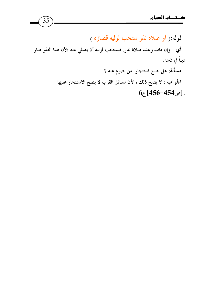قوله: ( أو صلاة نذر ستحب لوليه قضاؤه ) أي : وإن مات وعليه صلاة نذر، فيستحب لوليه أن يصلي عنه ؛لأن هذا النذر صار ديناً في ذمته. مسألة: هل يصح استئجار ً من يصوم عنه ؟ الجواب : لا يصح ذلك ؛ لأن مسائل القرب لا يصح الاستئجار عليها  $6_{\tilde{c}}$ [456-454].

 $35$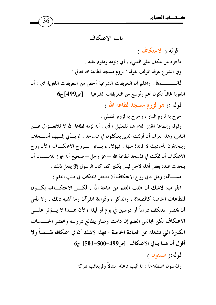36

باب الاعتكاف

قوله: ( الاعتكاف ) مأخوذ من عكف على الشيء ؛ أي :لزمه وداوم عليه . وفي الشرع عرفه المؤلف بقوله:" لزوم مسجد لطاعة الله تعالى " اللغوية غالباً تكون أعم وأوسع من التعريفات الشرعية . [ص499]ج6 قوله :( هو لزوم مسجد لطاعة الله ) خرج به لزوم الدار ، وخرج به لزوم المصلي . وقوله ((لطاعة الله)) اللام هنا للتعليل ؛ أي : أنه لزمه لطاعة الله لا للانعــزال عـــن الناس، وهذا نعرف أن أولئك الذين يعتكفون في المساجد ، ثم يسأتي إلسيهم أصـــحاهِم ويتحدثون بأحاديث لا فائدة منها ، فهؤلاء لم يسأتوا بسروح الاعتكاف ؛ لأن روح الاعتكاف أن تمكث في المسجد لطاعة الله – عز وجل – صحيح أنه يجوز للإنــــسان أن يتحدث عنده بعض أهله لأجل ليس بكثير كما كان الرسول ﷺ يفعل ذلك . مســـألة: وهل ينافي روح الاعتكاف أن يشتغل المعتكف في طلب العلم ؟

الجواب: لاشك أن طلب العلم من طاعة الله ، لكـــن الاعتكـــاف يكـــون للطاعات الخاصة كالصلاة ، والذكر ، وقراءة القرآن وما أشبه ذلك ، ولا بأس أن يحضر المعتكف درساً أو درسين في يوم أو ليلة ؛ لأن هــــذا لا يــــؤثر علـــــى الاعتكاف لكن مجالس العلم إن دامت وصار يطالع دروسه ويحضر الجلسسات الكثير ة التي تشغله عن العبادة الخاصة ؛ فهذا لاشك أن في اعتكافه نقـــصاً ولا  $6$ أقول أن هذا ينافي الاعتكاف . [ص499-501-501] ج

> قوله: ( مسنون ) والمسنون اصطلاحًا : ما أثيب فاعله امتثالاً ولم يعاقب تاركه .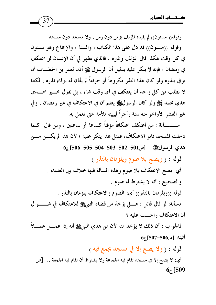وقوله(( مسنون)) لم يقيده المؤلف بزمن دون زمن ، ولا بمسجد دون مسجد. وقوله ((مسنون)) قد دل على هذا الكتاب ، والسنة ، والإجماع وهو مسنون في كل وقت هكذا قال المؤلف وغيره ، فالذي يظهر لي أن الإنسان لو اعتكف في رمضان ، فإنه لا ينكر عليه بدليل أن الرسول ﷺ أذن لعمر بن الخطـــاب أن يو في بنذره ولو كان هذا النذر مكروهاً أو حراماً لم يأذن له بوفاء نذره ، لكننا لا نطلب من كل واحد أن يعتكف في أي وقت شاء ، بل نقول خــــير الهــــدي هدي محمد ﷺ ولو كان الرسولﷺ يعلم أن في الاعتكاف في غير رمضان ، وفي غير العشر الأواخر منه سنة وأجراً ليبينه للأمة حتى تعمل به.

37

مــــســـألة : من أعتكف اعتكافاً مؤقتاً كساعة أو ساعتين ، ومن قال: كلما دخلت المسجد فانو الاعتكاف، فمثل هذا ينكر عليه ؛ لأن هذا لم يكـــن مـــن هدي الرسولﷺ. [ص501-502-503-504-505-506]ج6

قوله : ( ويصح بلا صوم ويلزمان بالنذر )

أي: يصح الاعتكاف بلا صوم وهذه المسألة فيها خلاف بين العلماء . والصحيح : أنه لا يشترط له صوم .

قوله ((ويلزمان بالنذر)) أي: الصوم والاعتكاف يلزمان بالنذر .

مسألة: لو قال قائل : هــــل يؤخذ من قضاء النبيﷺ للاعتكاف في شــــــــوال أن الاعتكاف واجــب عليه ؟

فالجواب : أن ذلك لا يؤخذ منه لأن من هدي النبيﷺ أنه إذا عمــــل عمــــلاً  $6_{\tilde{c}}$  أَثْبته . [ص506–507] ج

قوله : ( ولا يصح إلا في مسجد يجمع فيه )

أي: لا يصح إلا في مسجد تقام فيه الجماعة ولا يشترط أن تقام فيه الجمعة … [ص  $65[509]$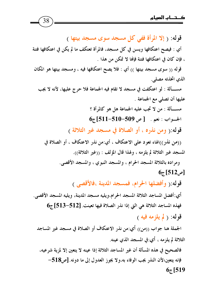قوله: ( إلا المرأة ففي كل مسجد سوى مسجد بيتها ) أي : فيصح اعتكافها ويسن في كل مسجد، فالمرأة تعتكف ما لم يكن في اعتكافها فتنة ، فإن كان في اعتكافها فتنة فإنها لا تمكن من هذا . قوله (( سوى مسجد بيتها )) أي : فلا يصح اعتكافها فيه ، ومسجد بيتها هو المكان الذي اتخذته مصلى. مســـألة : لو اعتكفت في مسجد لا تقام فيه الجماعة فلا حرج عليها، لأنه لا يجب عليها أن تصلى مع الجماعة . مســـألة : من لا تجب عليه الجماعة هل هو كالم أة ؟  $6_{\tilde{c}}$  1511-510-509 میل 509-511-510 قوله: ( ومن نذره ، أو الصلاة في مسجد غير الثلاثة ) ((من نذر))الهاء تعود على الاعتكاف ، أي:من نذر الاعتكاف ، أو الصلاة في المسجد غير الثلاثة لم يلزمه ، ولهذا قال المؤلف : ((غير الثلاثة)). ومراده بالثلاثة المسجد الحرام ، والمسجد النبوي ، والمسجد الأقصى.  $6_{\tilde{c}}$ [ص512] قوله: (وأفضلها الحرام، فمسجد المدينة ،فالأقصى ) أي:أفضل المساجد الثلاثة المسجد الحرام،ويليه مسجد المدينة، ويليه المسجد الأقصى. فهذه المساجد الثلاثة هي التي إذا نذر الصلاة فيها تعينت. [512-513] ج6 قوله: ( لم يلزمه فيه ) الجملة هنا جواب ((من)) أي:من نذر الاعتكاف أو الصلاة في مسجد غير المساجد الثلاثة لم يلزمه ، أي:في المسجد الذي عينه.

38

فالصحيح في هذه المسألة أن غير المساجد الثلاثة إذا عينه لا يتعين إلا لمزية شرعيه، فإنه يتعين؛لأن النذر يجب الوفاء به،ولا يجوز العدول إلى ما دونه. [ص518- $67$ [519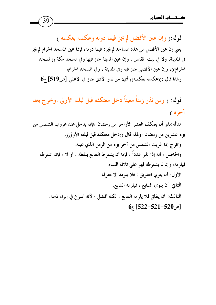قوله:( وإن عين الأفضل لم يجز فيما دونه وعكسه بعكسه ) يعني إن عين الأفضل من هذه المساجد لم يجزِه فيما دونه، فإذا عين المسجد الحرام لم يجز في المدينة، ولا في بيت المقدس ، وإن عين المدينة جاز فيها وفي مسجد مكة ((المسجد الحرام))، وإن عين الأقصى جاز فيه وفي المدينة ، وفي المسجد الحرام؛  $6_{\tilde{c}}$  وهذا قال :((عكسه بعكسه)) أي: من نذر الأدنى جاز في الأعلى. [ص519] ج

قوله: ( ومن نذر زمناً معيناً دخل معتكفه قبل ليلته الأولى ،وخرج بعد آخره )

مثاله:نذر أن يعتكف العشر الأواخر من رمضان ،فإنه يدخل عند غروب الشمس من يوم عشرين من رمضان ،ولهذا قال ((دخل معتكفه قبل ليلته الأولى)). ويخرج إذا غربت الشمس من آخر يوم من الزمن الذي عينه. والحاصل ، أنه إذا نذر عدداً ، فإما أن يشترط التتابع بلفظه ، أو لا ، فإن اشترطه فيلزمه، وإن لم يشترطه فهو على ثلاثة أقسام : الأول: أن ينوي التفريق ؛ فلا يلزمه إلا مفرقة. الثاني: أن ينوي التتابع ، فيلزمه التتابع. الثالث: أن يطلق فلا يلزمه التتابع ، لكنه أفضل ؛ لأنه أسرع في إبراء ذمته.  $6_{\tilde{c}}$ [522-521-520]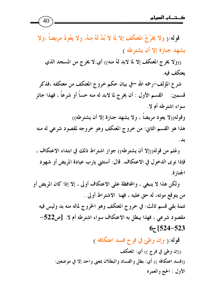((ولا يخرج المعتكف إلا لما لابد لهُ منه)) أي:لا يخرج من المسجد الذي يعتكف فيه.

شر ع المؤلف–رحمه الله –في بيان حكم خروج المعتكف من معتكفه ،فذكر قسمين: ﴿ القسم الأول : أن يخرج لما لابد له منه حساً أو شرعاً ، فهذا جائز سواء اشترطه أم لا. وقوله((لا يعود مريضاً ، ولا يشهد جنازة إلا أن يشترطه)) هذا هو القسم الثاني: من خروج المعتكف وهو خروجه لمقصود شرعي له منه بد.

وعُلم من قوله((إلا أن يشترطه)) جواز اشتراط ذلك في ابتداء الاعتكاف ، فإذا نوى الدخول في الاعتكاف. قال: أستثني يارب عيادة المريض أو شهود الجنازة.

ولكن هذا لا ينبغي ، والمحافظة على الاعتكاف أولى ، إلا إذا كان المريض أو من يتوقع موته، له حق عليه ، فهنا الاشتراط أولى . تتمة بقى قسم ثالث: في خروج المعتكف وهو الخروج لماله منه بد وليس فيه مقصود شرعي ، فهذا يبطل به الاعتكاف سواء اشترطه أم لا. [ص522- $67$  [524-523

قوله:( وإن وطئ في فرج فسد اعتكافه )

((إن وطئ في فرج )) أي: المعتكف ((فسد اعتكافه )) أي: بطل والفساد والبطلان بمعنى واحد إلا في موضعين: الأول : الحج والعمره